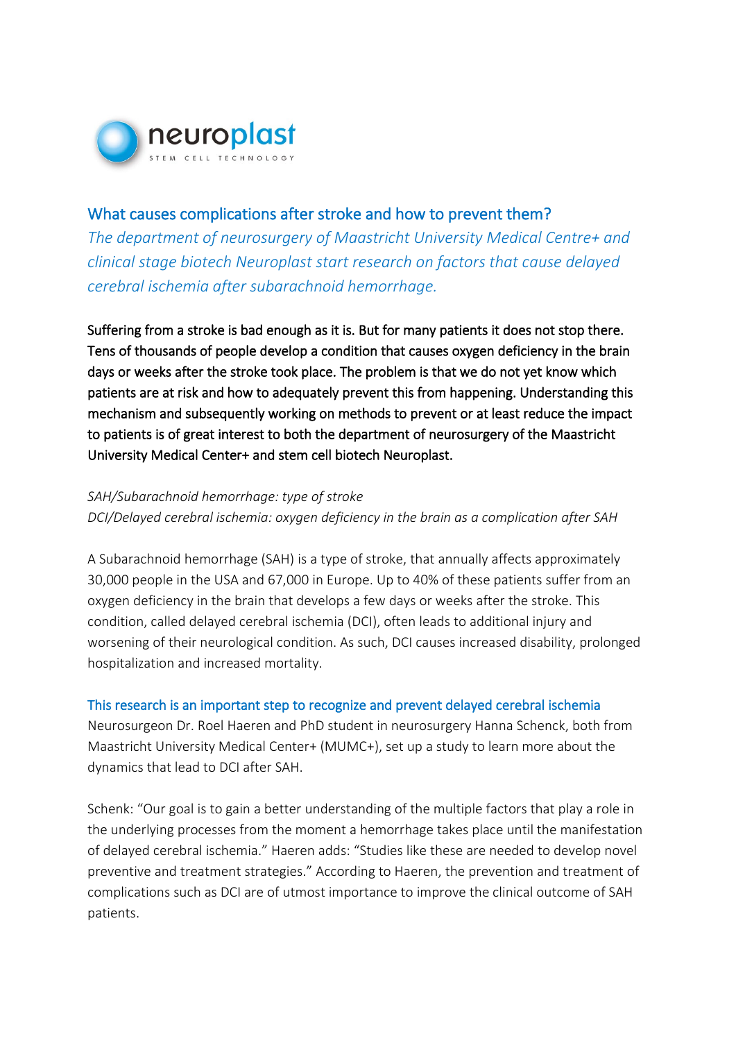

# What causes complications after stroke and how to prevent them?

*The department of neurosurgery of Maastricht University Medical Centre+ and clinical stage biotech Neuroplast start research on factors that cause delayed cerebral ischemia after subarachnoid hemorrhage.* 

Suffering from a stroke is bad enough as it is. But for many patients it does not stop there. Tens of thousands of people develop a condition that causes oxygen deficiency in the brain days or weeks after the stroke took place. The problem is that we do not yet know which patients are at risk and how to adequately prevent this from happening. Understanding this mechanism and subsequently working on methods to prevent or at least reduce the impact to patients is of great interest to both the department of neurosurgery of the Maastricht University Medical Center+ and stem cell biotech Neuroplast.

## *SAH/Subarachnoid hemorrhage: type of stroke*

*DCI/Delayed cerebral ischemia: oxygen deficiency in the brain as a complication after SAH*

A Subarachnoid hemorrhage (SAH) is a type of stroke, that annually affects approximately 30,000 people in the USA and 67,000 in Europe. Up to 40% of these patients suffer from an oxygen deficiency in the brain that develops a few days or weeks after the stroke. This condition, called delayed cerebral ischemia (DCI), often leads to additional injury and worsening of their neurological condition. As such, DCI causes increased disability, prolonged hospitalization and increased mortality.

### This research is an important step to recognize and prevent delayed cerebral ischemia

Neurosurgeon Dr. Roel Haeren and PhD student in neurosurgery Hanna Schenck, both from Maastricht University Medical Center+ (MUMC+), set up a study to learn more about the dynamics that lead to DCI after SAH.

Schenk: "Our goal is to gain a better understanding of the multiple factors that play a role in the underlying processes from the moment a hemorrhage takes place until the manifestation of delayed cerebral ischemia." Haeren adds: "Studies like these are needed to develop novel preventive and treatment strategies." According to Haeren, the prevention and treatment of complications such as DCI are of utmost importance to improve the clinical outcome of SAH patients.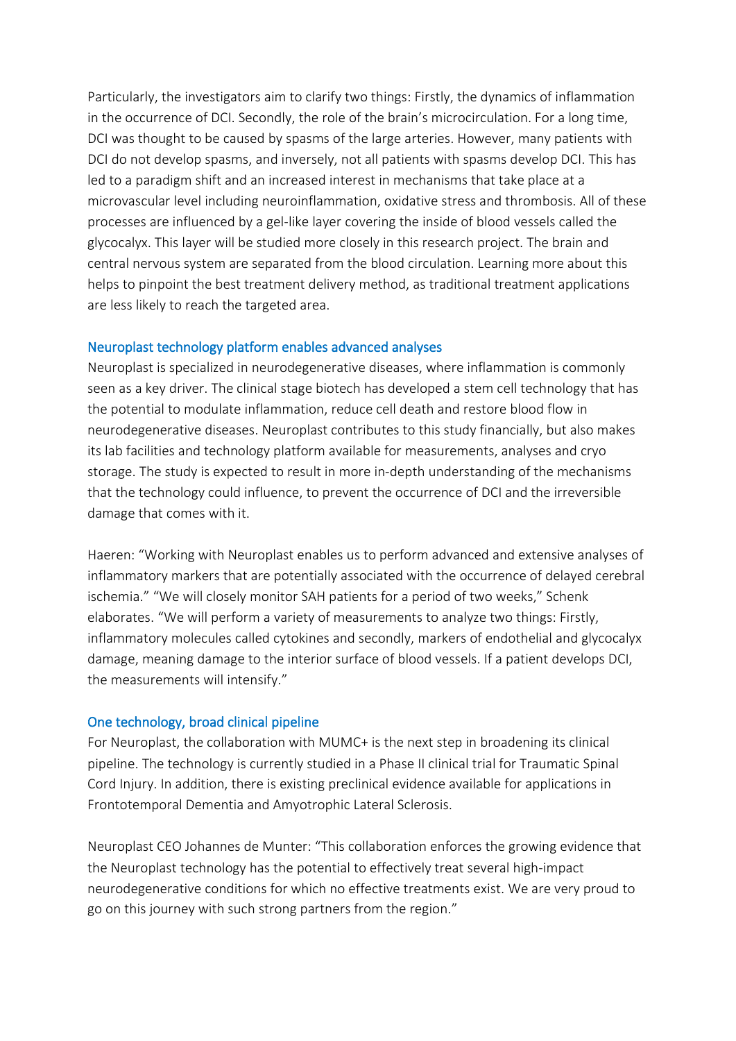Particularly, the investigators aim to clarify two things: Firstly, the dynamics of inflammation in the occurrence of DCI. Secondly, the role of the brain's microcirculation. For a long time, DCI was thought to be caused by spasms of the large arteries. However, many patients with DCI do not develop spasms, and inversely, not all patients with spasms develop DCI. This has led to a paradigm shift and an increased interest in mechanisms that take place at a microvascular level including neuroinflammation, oxidative stress and thrombosis. All of these processes are influenced by a gel-like layer covering the inside of blood vessels called the glycocalyx. This layer will be studied more closely in this research project. The brain and central nervous system are separated from the blood circulation. Learning more about this helps to pinpoint the best treatment delivery method, as traditional treatment applications are less likely to reach the targeted area.

### Neuroplast technology platform enables advanced analyses

Neuroplast is specialized in neurodegenerative diseases, where inflammation is commonly seen as a key driver. The clinical stage biotech has developed a stem cell technology that has the potential to modulate inflammation, reduce cell death and restore blood flow in neurodegenerative diseases. Neuroplast contributes to this study financially, but also makes its lab facilities and technology platform available for measurements, analyses and cryo storage. The study is expected to result in more in-depth understanding of the mechanisms that the technology could influence, to prevent the occurrence of DCI and the irreversible damage that comes with it.

Haeren: "Working with Neuroplast enables us to perform advanced and extensive analyses of inflammatory markers that are potentially associated with the occurrence of delayed cerebral ischemia." "We will closely monitor SAH patients for a period of two weeks," Schenk elaborates. "We will perform a variety of measurements to analyze two things: Firstly, inflammatory molecules called cytokines and secondly, markers of endothelial and glycocalyx damage, meaning damage to the interior surface of blood vessels. If a patient develops DCI, the measurements will intensify."

### One technology, broad clinical pipeline

For Neuroplast, the collaboration with MUMC+ is the next step in broadening its clinical pipeline. The technology is currently studied in a Phase II clinical trial for Traumatic Spinal Cord Injury. In addition, there is existing preclinical evidence available for applications in Frontotemporal Dementia and Amyotrophic Lateral Sclerosis.

Neuroplast CEO Johannes de Munter: "This collaboration enforces the growing evidence that the Neuroplast technology has the potential to effectively treat several high-impact neurodegenerative conditions for which no effective treatments exist. We are very proud to go on this journey with such strong partners from the region."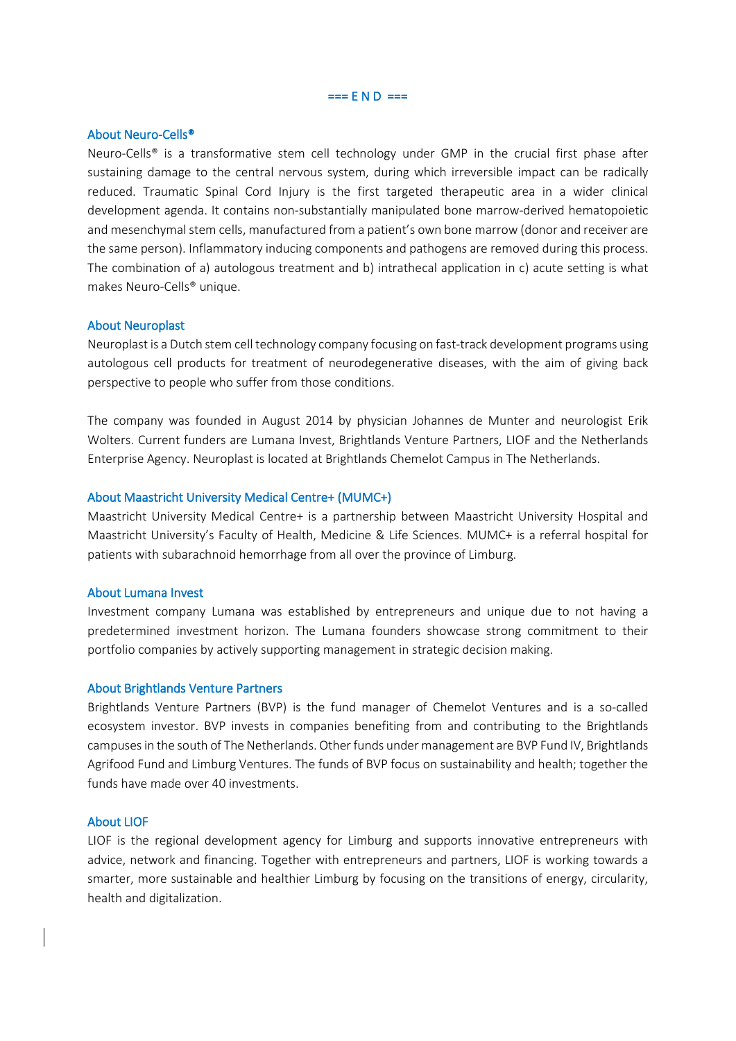=== E N D ===

#### About Neuro-Cells®

Neuro-Cells® is a transformative stem cell technology under GMP in the crucial first phase after sustaining damage to the central nervous system, during which irreversible impact can be radically reduced. Traumatic Spinal Cord Injury is the first targeted therapeutic area in a wider clinical development agenda. It contains non-substantially manipulated bone marrow-derived hematopoietic and mesenchymal stem cells, manufactured from a patient's own bone marrow (donor and receiver are the same person). Inflammatory inducing components and pathogens are removed during this process. The combination of a) autologous treatment and b) intrathecal application in c) acute setting is what makes Neuro-Cells® unique.

#### About Neuroplast

Neuroplast is a Dutch stem cell technology company focusing on fast-track development programs using autologous cell products for treatment of neurodegenerative diseases, with the aim of giving back perspective to people who suffer from those conditions.

The company was founded in August 2014 by physician Johannes de Munter and neurologist Erik Wolters. Current funders are Lumana Invest, Brightlands Venture Partners, LIOF and the Netherlands Enterprise Agency. Neuroplast is located at Brightlands Chemelot Campus in The Netherlands.

#### About Maastricht University Medical Centre+ (MUMC+)

Maastricht University Medical Centre+ is a partnership between Maastricht University Hospital and Maastricht University's Faculty of Health, Medicine & Life Sciences. MUMC+ is a referral hospital for patients with subarachnoid hemorrhage from all over the province of Limburg.

#### About Lumana Invest

Investment company Lumana was established by entrepreneurs and unique due to not having a predetermined investment horizon. The Lumana founders showcase strong commitment to their portfolio companies by actively supporting management in strategic decision making.

#### About Brightlands Venture Partners

Brightlands Venture Partners (BVP) is the fund manager of Chemelot Ventures and is a so-called ecosystem investor. BVP invests in companies benefiting from and contributing to the Brightlands campuses in the south of The Netherlands. Other funds under management are BVP Fund IV, Brightlands Agrifood Fund and Limburg Ventures. The funds of BVP focus on sustainability and health; together the funds have made over 40 investments.

#### About LIOF

LIOF is the regional development agency for Limburg and supports innovative entrepreneurs with advice, network and financing. Together with entrepreneurs and partners, LIOF is working towards a smarter, more sustainable and healthier Limburg by focusing on the transitions of energy, circularity, health and digitalization.